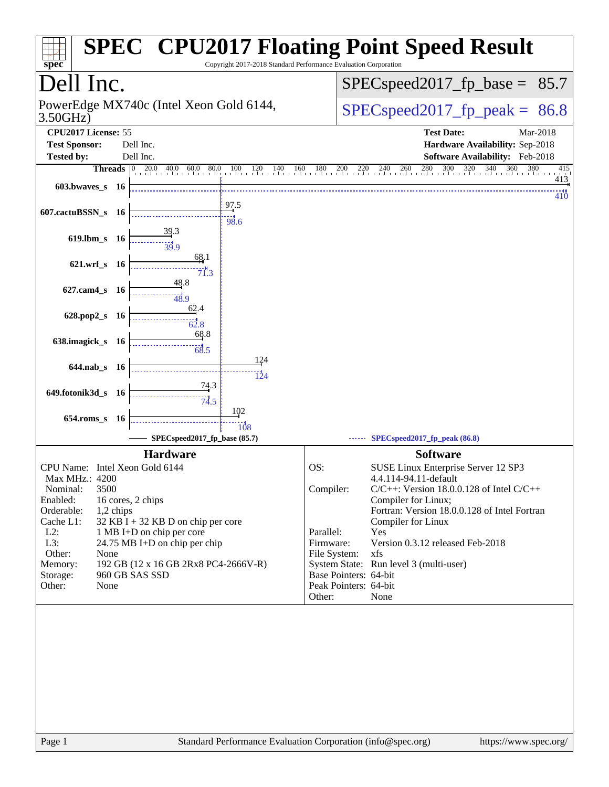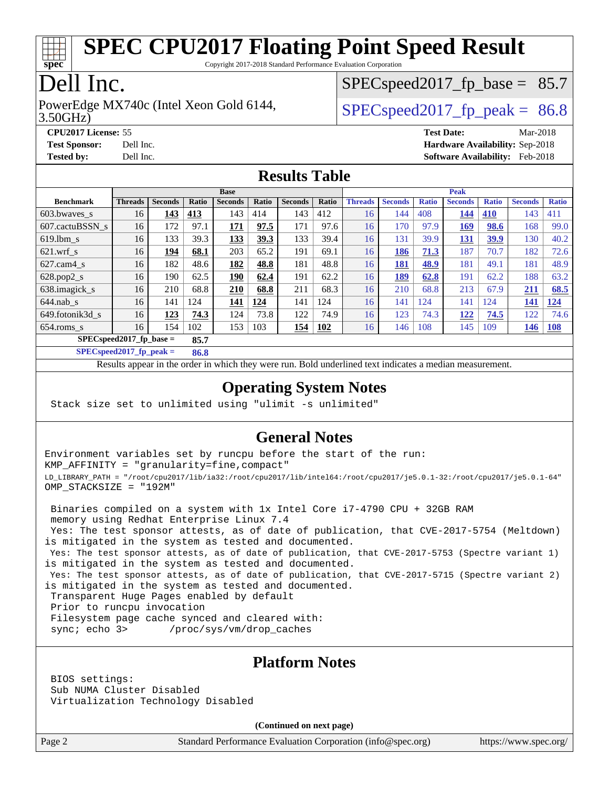

Copyright 2017-2018 Standard Performance Evaluation Corporation

## Dell Inc.

3.50GHz) PowerEdge MX740c (Intel Xeon Gold 6144,  $\vert$  [SPECspeed2017\\_fp\\_peak =](http://www.spec.org/auto/cpu2017/Docs/result-fields.html#SPECspeed2017fppeak) 86.8

 $SPECspeed2017<sub>fp</sub> base = 85.7$ 

**[CPU2017 License:](http://www.spec.org/auto/cpu2017/Docs/result-fields.html#CPU2017License)** 55 **[Test Date:](http://www.spec.org/auto/cpu2017/Docs/result-fields.html#TestDate)** Mar-2018 **[Test Sponsor:](http://www.spec.org/auto/cpu2017/Docs/result-fields.html#TestSponsor)** Dell Inc. **[Hardware Availability:](http://www.spec.org/auto/cpu2017/Docs/result-fields.html#HardwareAvailability)** Sep-2018 **[Tested by:](http://www.spec.org/auto/cpu2017/Docs/result-fields.html#Testedby)** Dell Inc. **[Software Availability:](http://www.spec.org/auto/cpu2017/Docs/result-fields.html#SoftwareAvailability)** Feb-2018

#### **[Results Table](http://www.spec.org/auto/cpu2017/Docs/result-fields.html#ResultsTable)**

|                            | <b>Base</b>    |                |       |                |       |                | <b>Peak</b> |                |                |              |                |              |                |              |
|----------------------------|----------------|----------------|-------|----------------|-------|----------------|-------------|----------------|----------------|--------------|----------------|--------------|----------------|--------------|
| <b>Benchmark</b>           | <b>Threads</b> | <b>Seconds</b> | Ratio | <b>Seconds</b> | Ratio | <b>Seconds</b> | Ratio       | <b>Threads</b> | <b>Seconds</b> | <b>Ratio</b> | <b>Seconds</b> | <b>Ratio</b> | <b>Seconds</b> | <b>Ratio</b> |
| 603.bwayes s               | 16             | 143            | 413   | 143            | 414   | 143            | 412         | 16             | 144            | 408          | 144            | 410          | 143            | 411          |
| 607.cactuBSSN s            | 16             | 172            | 97.1  | 171            | 97.5  | 171            | 97.6        | 16             | 170            | 97.9         | <u>169</u>     | 98.6         | 168            | 99.0         |
| $619.1$ bm s               | 16             | 133            | 39.3  | <u>133</u>     | 39.3  | 133            | 39.4        | 16             | 131            | 39.9         | <b>131</b>     | <u>39.9</u>  | 130            | 40.2         |
| $621$ wrf s                | 16             | 194            | 68.1  | 203            | 65.2  | 191            | 69.1        | 16             | 186            | 71.3         | 187            | 70.7         | 182            | 72.6         |
| $627$ .cam4 s              | 16             | 182            | 48.6  | 182            | 48.8  | 181            | 48.8        | 16             | 181            | 48.9         | 181            | 49.1         | 181            | 48.9         |
| $628.pop2_s$               | 16             | 190            | 62.5  | 190            | 62.4  | 191            | 62.2        | 16             | 189            | 62.8         | 191            | 62.2         | 188            | 63.2         |
| 638.imagick_s              | 16             | 210            | 68.8  | 210            | 68.8  | 211            | 68.3        | 16             | 210            | 68.8         | 213            | 67.9         | 211            | 68.5         |
| $644$ .nab s               | 16             | 141            | 124   | 141            | 124   | 141            | 124         | 16             | 141            | 124          | 141            | 124          | 141            | 124          |
| 649.fotonik3d s            | 16             | 123            | 74.3  | 124            | 73.8  | 122            | 74.9        | 16             | 123            | 74.3         | <u>122</u>     | 74.5         | 122            | 74.6         |
| $654$ .roms s              | 16             | 154            | 102   | 153            | 103   | 154            | 102         | 16             | 146            | 108          | 145            | 109          | 146            | 108          |
| $SPECspeed2017_fp\_base =$ |                |                | 85.7  |                |       |                |             |                |                |              |                |              |                |              |

**[SPECspeed2017\\_fp\\_peak =](http://www.spec.org/auto/cpu2017/Docs/result-fields.html#SPECspeed2017fppeak) 86.8**

Results appear in the [order in which they were run.](http://www.spec.org/auto/cpu2017/Docs/result-fields.html#RunOrder) Bold underlined text [indicates a median measurement](http://www.spec.org/auto/cpu2017/Docs/result-fields.html#Median).

#### **[Operating System Notes](http://www.spec.org/auto/cpu2017/Docs/result-fields.html#OperatingSystemNotes)**

Stack size set to unlimited using "ulimit -s unlimited"

#### **[General Notes](http://www.spec.org/auto/cpu2017/Docs/result-fields.html#GeneralNotes)**

Environment variables set by runcpu before the start of the run: KMP\_AFFINITY = "granularity=fine,compact" LD\_LIBRARY\_PATH = "/root/cpu2017/lib/ia32:/root/cpu2017/lib/intel64:/root/cpu2017/je5.0.1-32:/root/cpu2017/je5.0.1-64" OMP\_STACKSIZE = "192M"

 Binaries compiled on a system with 1x Intel Core i7-4790 CPU + 32GB RAM memory using Redhat Enterprise Linux 7.4 Yes: The test sponsor attests, as of date of publication, that CVE-2017-5754 (Meltdown) is mitigated in the system as tested and documented.

 Yes: The test sponsor attests, as of date of publication, that CVE-2017-5753 (Spectre variant 1) is mitigated in the system as tested and documented.

 Yes: The test sponsor attests, as of date of publication, that CVE-2017-5715 (Spectre variant 2) is mitigated in the system as tested and documented.

Transparent Huge Pages enabled by default

Prior to runcpu invocation

Filesystem page cache synced and cleared with:

sync; echo 3> /proc/sys/vm/drop\_caches

#### **[Platform Notes](http://www.spec.org/auto/cpu2017/Docs/result-fields.html#PlatformNotes)**

 BIOS settings: Sub NUMA Cluster Disabled Virtualization Technology Disabled

**(Continued on next page)**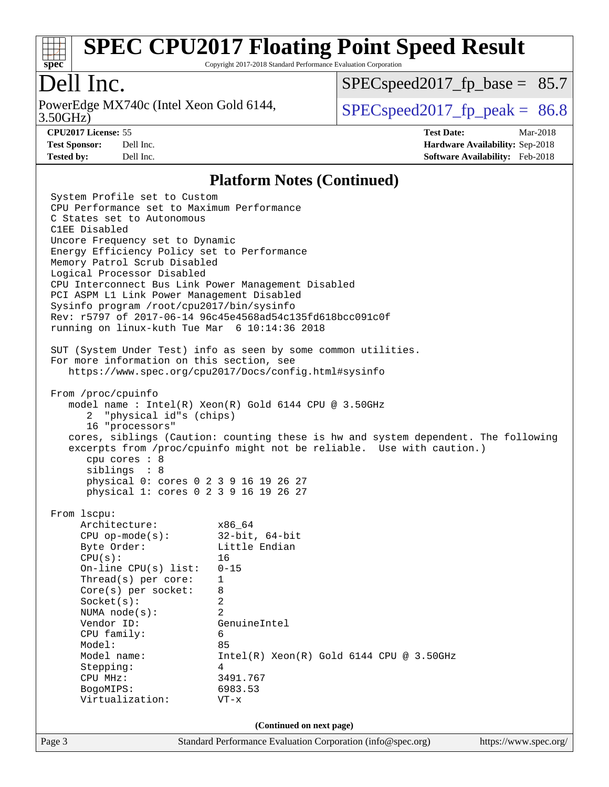

Copyright 2017-2018 Standard Performance Evaluation Corporation

## Dell Inc.

3.50GHz) PowerEdge MX740c (Intel Xeon Gold 6144,  $\vert$  [SPECspeed2017\\_fp\\_peak =](http://www.spec.org/auto/cpu2017/Docs/result-fields.html#SPECspeed2017fppeak) 86.8

 $SPECspeed2017<sub>fp</sub> base = 85.7$ 

**[CPU2017 License:](http://www.spec.org/auto/cpu2017/Docs/result-fields.html#CPU2017License)** 55 **[Test Date:](http://www.spec.org/auto/cpu2017/Docs/result-fields.html#TestDate)** Mar-2018 **[Test Sponsor:](http://www.spec.org/auto/cpu2017/Docs/result-fields.html#TestSponsor)** Dell Inc. **[Hardware Availability:](http://www.spec.org/auto/cpu2017/Docs/result-fields.html#HardwareAvailability)** Sep-2018 **[Tested by:](http://www.spec.org/auto/cpu2017/Docs/result-fields.html#Testedby)** Dell Inc. **[Software Availability:](http://www.spec.org/auto/cpu2017/Docs/result-fields.html#SoftwareAvailability)** Feb-2018

#### **[Platform Notes \(Continued\)](http://www.spec.org/auto/cpu2017/Docs/result-fields.html#PlatformNotes)**

Page 3 Standard Performance Evaluation Corporation [\(info@spec.org\)](mailto:info@spec.org) <https://www.spec.org/> System Profile set to Custom CPU Performance set to Maximum Performance C States set to Autonomous C1EE Disabled Uncore Frequency set to Dynamic Energy Efficiency Policy set to Performance Memory Patrol Scrub Disabled Logical Processor Disabled CPU Interconnect Bus Link Power Management Disabled PCI ASPM L1 Link Power Management Disabled Sysinfo program /root/cpu2017/bin/sysinfo Rev: r5797 of 2017-06-14 96c45e4568ad54c135fd618bcc091c0f running on linux-kuth Tue Mar 6 10:14:36 2018 SUT (System Under Test) info as seen by some common utilities. For more information on this section, see <https://www.spec.org/cpu2017/Docs/config.html#sysinfo> From /proc/cpuinfo model name : Intel(R) Xeon(R) Gold 6144 CPU @ 3.50GHz 2 "physical id"s (chips) 16 "processors" cores, siblings (Caution: counting these is hw and system dependent. The following excerpts from /proc/cpuinfo might not be reliable. Use with caution.) cpu cores : 8 siblings : 8 physical 0: cores 0 2 3 9 16 19 26 27 physical 1: cores 0 2 3 9 16 19 26 27 From lscpu: Architecture: x86\_64 CPU op-mode(s): 32-bit, 64-bit Byte Order: Little Endian  $CPU(s):$  16 On-line CPU(s) list: 0-15 Thread(s) per core: 1 Core(s) per socket: 8 Socket(s): 2 NUMA node(s): 2 Vendor ID: GenuineIntel CPU family: 6 Model: 85 Model name:  $Intel(R)$  Xeon(R) Gold 6144 CPU @ 3.50GHz Stepping: 4 CPU MHz: 3491.767 BogoMIPS: 6983.53 Virtualization: VT-x **(Continued on next page)**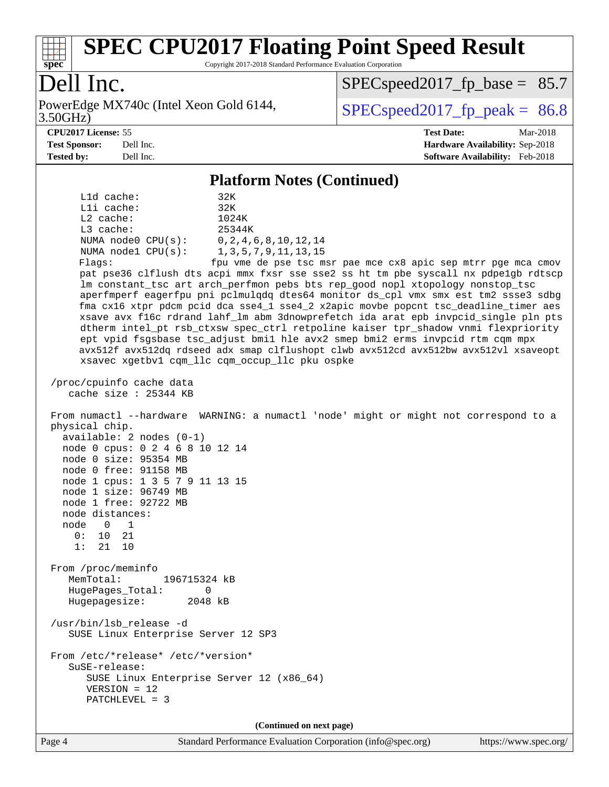

Copyright 2017-2018 Standard Performance Evaluation Corporation

## Dell Inc.

3.50GHz) PowerEdge MX740c (Intel Xeon Gold 6144,  $\vert$  [SPECspeed2017\\_fp\\_peak =](http://www.spec.org/auto/cpu2017/Docs/result-fields.html#SPECspeed2017fppeak) 86.8

 $SPECspeed2017<sub>fp</sub> base = 85.7$ 

**[CPU2017 License:](http://www.spec.org/auto/cpu2017/Docs/result-fields.html#CPU2017License)** 55 **[Test Date:](http://www.spec.org/auto/cpu2017/Docs/result-fields.html#TestDate)** Mar-2018 **[Test Sponsor:](http://www.spec.org/auto/cpu2017/Docs/result-fields.html#TestSponsor)** Dell Inc. **[Hardware Availability:](http://www.spec.org/auto/cpu2017/Docs/result-fields.html#HardwareAvailability)** Sep-2018 **[Tested by:](http://www.spec.org/auto/cpu2017/Docs/result-fields.html#Testedby)** Dell Inc. **[Software Availability:](http://www.spec.org/auto/cpu2017/Docs/result-fields.html#SoftwareAvailability)** Feb-2018

#### **[Platform Notes \(Continued\)](http://www.spec.org/auto/cpu2017/Docs/result-fields.html#PlatformNotes)**

 L1d cache: 32K L1i cache: 32K L2 cache: 1024K L3 cache: 25344K NUMA node0 CPU(s): 0,2,4,6,8,10,12,14 NUMA node1 CPU(s): 1,3,5,7,9,11,13,15 Flags: fpu vme de pse tsc msr pae mce cx8 apic sep mtrr pge mca cmov pat pse36 clflush dts acpi mmx fxsr sse sse2 ss ht tm pbe syscall nx pdpe1gb rdtscp lm constant\_tsc art arch\_perfmon pebs bts rep\_good nopl xtopology nonstop\_tsc aperfmperf eagerfpu pni pclmulqdq dtes64 monitor ds\_cpl vmx smx est tm2 ssse3 sdbg fma cx16 xtpr pdcm pcid dca sse4\_1 sse4\_2 x2apic movbe popcnt tsc\_deadline\_timer aes xsave avx f16c rdrand lahf\_lm abm 3dnowprefetch ida arat epb invpcid\_single pln pts dtherm intel\_pt rsb\_ctxsw spec\_ctrl retpoline kaiser tpr\_shadow vnmi flexpriority ept vpid fsgsbase tsc\_adjust bmi1 hle avx2 smep bmi2 erms invpcid rtm cqm mpx avx512f avx512dq rdseed adx smap clflushopt clwb avx512cd avx512bw avx512vl xsaveopt xsavec xgetbv1 cqm\_llc cqm\_occup\_llc pku ospke /proc/cpuinfo cache data cache size : 25344 KB From numactl --hardware WARNING: a numactl 'node' might or might not correspond to a physical chip. available: 2 nodes (0-1) node 0 cpus: 0 2 4 6 8 10 12 14 node 0 size: 95354 MB node 0 free: 91158 MB node 1 cpus: 1 3 5 7 9 11 13 15 node 1 size: 96749 MB node 1 free: 92722 MB node distances: node 0 1  $0: 10 21$  1: 21 10 From /proc/meminfo MemTotal: 196715324 kB HugePages\_Total: 0 Hugepagesize: 2048 kB /usr/bin/lsb\_release -d SUSE Linux Enterprise Server 12 SP3 From /etc/\*release\* /etc/\*version\* SuSE-release: SUSE Linux Enterprise Server 12 (x86\_64) VERSION = 12 PATCHLEVEL = 3

**(Continued on next page)**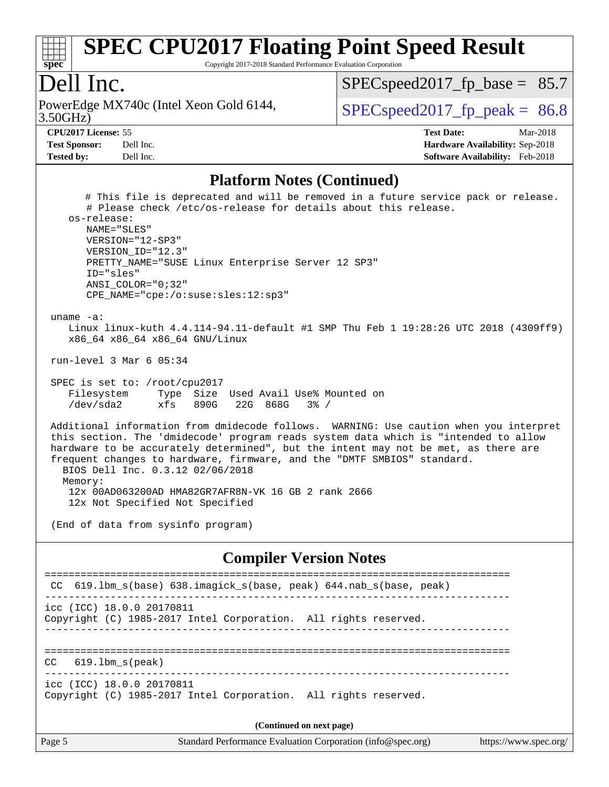

Copyright 2017-2018 Standard Performance Evaluation Corporation

#### Dell Inc.

3.50GHz) PowerEdge MX740c (Intel Xeon Gold 6144,  $\vert$  [SPECspeed2017\\_fp\\_peak =](http://www.spec.org/auto/cpu2017/Docs/result-fields.html#SPECspeed2017fppeak) 86.8

 $SPECspeed2017<sub>fp</sub> base = 85.7$ 

**[Test Sponsor:](http://www.spec.org/auto/cpu2017/Docs/result-fields.html#TestSponsor)** Dell Inc. **[Hardware Availability:](http://www.spec.org/auto/cpu2017/Docs/result-fields.html#HardwareAvailability)** Sep-2018 **[Tested by:](http://www.spec.org/auto/cpu2017/Docs/result-fields.html#Testedby)** Dell Inc. **[Software Availability:](http://www.spec.org/auto/cpu2017/Docs/result-fields.html#SoftwareAvailability)** Feb-2018

**[CPU2017 License:](http://www.spec.org/auto/cpu2017/Docs/result-fields.html#CPU2017License)** 55 **[Test Date:](http://www.spec.org/auto/cpu2017/Docs/result-fields.html#TestDate)** Mar-2018

#### **[Platform Notes \(Continued\)](http://www.spec.org/auto/cpu2017/Docs/result-fields.html#PlatformNotes)**

 # This file is deprecated and will be removed in a future service pack or release. # Please check /etc/os-release for details about this release. os-release: NAME="SLES" VERSION="12-SP3" VERSION\_ID="12.3" PRETTY\_NAME="SUSE Linux Enterprise Server 12 SP3" ID="sles" ANSI\_COLOR="0;32" CPE\_NAME="cpe:/o:suse:sles:12:sp3" uname -a: Linux linux-kuth 4.4.114-94.11-default #1 SMP Thu Feb 1 19:28:26 UTC 2018 (4309ff9) x86\_64 x86\_64 x86\_64 GNU/Linux run-level 3 Mar 6 05:34 SPEC is set to: /root/cpu2017 Filesystem Type Size Used Avail Use% Mounted on /dev/sda2 xfs 890G 22G 868G 3% / Additional information from dmidecode follows. WARNING: Use caution when you interpret this section. The 'dmidecode' program reads system data which is "intended to allow hardware to be accurately determined", but the intent may not be met, as there are frequent changes to hardware, firmware, and the "DMTF SMBIOS" standard. BIOS Dell Inc. 0.3.12 02/06/2018 Memory: 12x 00AD063200AD HMA82GR7AFR8N-VK 16 GB 2 rank 2666 12x Not Specified Not Specified (End of data from sysinfo program)

#### **[Compiler Version Notes](http://www.spec.org/auto/cpu2017/Docs/result-fields.html#CompilerVersionNotes)**

| CC 619.1bm_s(base) 638.imagick_s(base, peak) 644.nab_s(base, peak)                           |  |  |  |  |  |
|----------------------------------------------------------------------------------------------|--|--|--|--|--|
| icc (ICC) 18.0.0 20170811<br>Copyright (C) 1985-2017 Intel Corporation. All rights reserved. |  |  |  |  |  |
| $CC$ 619.1bm $s$ (peak)                                                                      |  |  |  |  |  |
| icc (ICC) 18.0.0 20170811<br>Copyright (C) 1985-2017 Intel Corporation. All rights reserved. |  |  |  |  |  |
| (Continued on next page)                                                                     |  |  |  |  |  |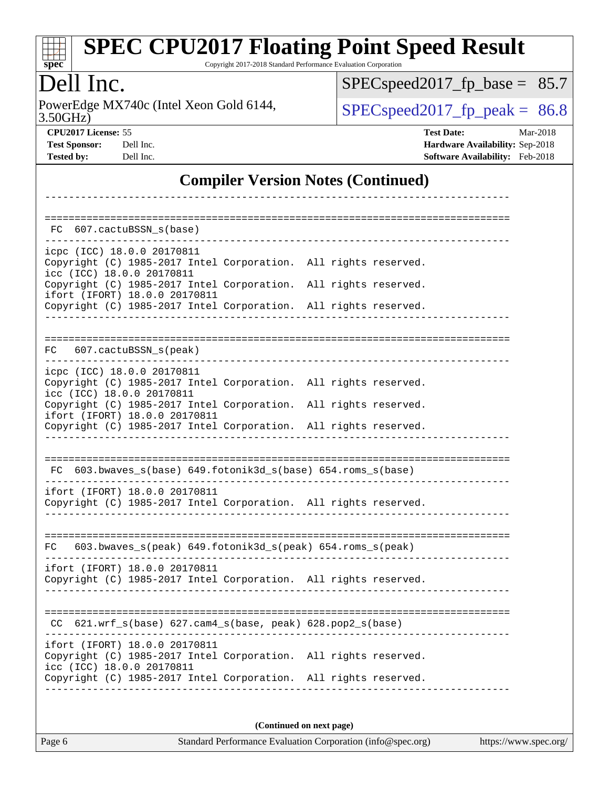| s | I | Dе | ι. |  |
|---|---|----|----|--|

Copyright 2017-2018 Standard Performance Evaluation Corporation

## Dell Inc.

3.50GHz) PowerEdge MX740c (Intel Xeon Gold 6144,  $\text{SPEC speed2017\_fp\_peak} = 86.8$ 

[SPECspeed2017\\_fp\\_base =](http://www.spec.org/auto/cpu2017/Docs/result-fields.html#SPECspeed2017fpbase) 85.7

**[CPU2017 License:](http://www.spec.org/auto/cpu2017/Docs/result-fields.html#CPU2017License)** 55 **[Test Date:](http://www.spec.org/auto/cpu2017/Docs/result-fields.html#TestDate)** Mar-2018 **[Test Sponsor:](http://www.spec.org/auto/cpu2017/Docs/result-fields.html#TestSponsor)** Dell Inc. **[Hardware Availability:](http://www.spec.org/auto/cpu2017/Docs/result-fields.html#HardwareAvailability)** Sep-2018 **[Tested by:](http://www.spec.org/auto/cpu2017/Docs/result-fields.html#Testedby)** Dell Inc. **[Software Availability:](http://www.spec.org/auto/cpu2017/Docs/result-fields.html#SoftwareAvailability)** Feb-2018

#### **[Compiler Version Notes \(Continued\)](http://www.spec.org/auto/cpu2017/Docs/result-fields.html#CompilerVersionNotes)**

| 607.cactuBSSN_s(base)<br>FC                                                                      |                                                                 |                                    |
|--------------------------------------------------------------------------------------------------|-----------------------------------------------------------------|------------------------------------|
| icpc (ICC) 18.0.0 20170811                                                                       |                                                                 |                                    |
| Copyright (C) 1985-2017 Intel Corporation. All rights reserved.<br>icc (ICC) 18.0.0 20170811     |                                                                 |                                    |
| Copyright (C) 1985-2017 Intel Corporation. All rights reserved.                                  |                                                                 |                                    |
| ifort (IFORT) 18.0.0 20170811<br>Copyright (C) 1985-2017 Intel Corporation. All rights reserved. |                                                                 |                                    |
|                                                                                                  |                                                                 |                                    |
| FC 607.cactuBSSN_s(peak)                                                                         |                                                                 | ================================== |
| icpc (ICC) 18.0.0 20170811                                                                       |                                                                 |                                    |
| Copyright (C) 1985-2017 Intel Corporation. All rights reserved.                                  |                                                                 |                                    |
| icc (ICC) 18.0.0 20170811<br>Copyright (C) 1985-2017 Intel Corporation. All rights reserved.     |                                                                 |                                    |
| ifort (IFORT) 18.0.0 20170811<br>Copyright (C) 1985-2017 Intel Corporation. All rights reserved. |                                                                 |                                    |
|                                                                                                  |                                                                 |                                    |
|                                                                                                  |                                                                 |                                    |
| FC 603.bwaves_s(base) 649.fotonik3d_s(base) 654.roms_s(base)                                     |                                                                 |                                    |
| ifort (IFORT) 18.0.0 20170811<br>Copyright (C) 1985-2017 Intel Corporation. All rights reserved. |                                                                 |                                    |
|                                                                                                  |                                                                 |                                    |
|                                                                                                  |                                                                 |                                    |
| 603.bwaves_s(peak) 649.fotonik3d_s(peak) 654.roms_s(peak)<br>FC.                                 |                                                                 |                                    |
| ifort (IFORT) 18.0.0 20170811                                                                    |                                                                 |                                    |
| Copyright (C) 1985-2017 Intel Corporation. All rights reserved.                                  |                                                                 |                                    |
|                                                                                                  |                                                                 |                                    |
| $621.wrf_s(base)$ $627.cam4_s(base, peak)$ $628.pop2_s(base)$<br>CC.                             |                                                                 |                                    |
| ifort (IFORT) 18.0.0 20170811                                                                    |                                                                 |                                    |
| Copyright (C) 1985-2017 Intel Corporation. All rights reserved.                                  |                                                                 |                                    |
| icc (ICC) 18.0.0 20170811                                                                        | Copyright (C) 1985-2017 Intel Corporation. All rights reserved. |                                    |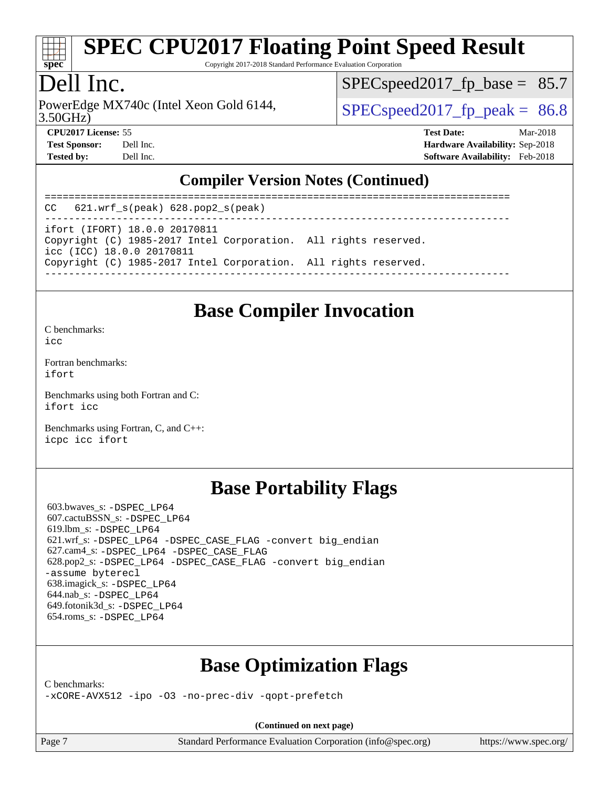

Copyright 2017-2018 Standard Performance Evaluation Corporation

## Dell Inc.

PowerEdge MX740c (Intel Xeon Gold 6144,  $\vert$  [SPECspeed2017\\_fp\\_peak =](http://www.spec.org/auto/cpu2017/Docs/result-fields.html#SPECspeed2017fppeak) 86.8

 $SPECspeed2017<sub>fp</sub> base = 85.7$ 

3.50GHz)

**[CPU2017 License:](http://www.spec.org/auto/cpu2017/Docs/result-fields.html#CPU2017License)** 55 **[Test Date:](http://www.spec.org/auto/cpu2017/Docs/result-fields.html#TestDate)** Mar-2018 **[Test Sponsor:](http://www.spec.org/auto/cpu2017/Docs/result-fields.html#TestSponsor)** Dell Inc. **[Hardware Availability:](http://www.spec.org/auto/cpu2017/Docs/result-fields.html#HardwareAvailability)** Sep-2018 **[Tested by:](http://www.spec.org/auto/cpu2017/Docs/result-fields.html#Testedby)** Dell Inc. **[Software Availability:](http://www.spec.org/auto/cpu2017/Docs/result-fields.html#SoftwareAvailability)** Feb-2018

#### **[Compiler Version Notes \(Continued\)](http://www.spec.org/auto/cpu2017/Docs/result-fields.html#CompilerVersionNotes)**

============================================================================== CC 621.wrf\_s(peak) 628.pop2\_s(peak) ----------------------------------------------------------------------------- ifort (IFORT) 18.0.0 20170811 Copyright (C) 1985-2017 Intel Corporation. All rights reserved. icc (ICC) 18.0.0 20170811 Copyright (C) 1985-2017 Intel Corporation. All rights reserved. ------------------------------------------------------------------------------

#### **[Base Compiler Invocation](http://www.spec.org/auto/cpu2017/Docs/result-fields.html#BaseCompilerInvocation)**

[C benchmarks](http://www.spec.org/auto/cpu2017/Docs/result-fields.html#Cbenchmarks):  $i$ cc

[Fortran benchmarks](http://www.spec.org/auto/cpu2017/Docs/result-fields.html#Fortranbenchmarks): [ifort](http://www.spec.org/cpu2017/results/res2018q4/cpu2017-20181001-09016.flags.html#user_FCbase_intel_ifort_18.0_8111460550e3ca792625aed983ce982f94888b8b503583aa7ba2b8303487b4d8a21a13e7191a45c5fd58ff318f48f9492884d4413fa793fd88dd292cad7027ca)

[Benchmarks using both Fortran and C](http://www.spec.org/auto/cpu2017/Docs/result-fields.html#BenchmarksusingbothFortranandC): [ifort](http://www.spec.org/cpu2017/results/res2018q4/cpu2017-20181001-09016.flags.html#user_CC_FCbase_intel_ifort_18.0_8111460550e3ca792625aed983ce982f94888b8b503583aa7ba2b8303487b4d8a21a13e7191a45c5fd58ff318f48f9492884d4413fa793fd88dd292cad7027ca) [icc](http://www.spec.org/cpu2017/results/res2018q4/cpu2017-20181001-09016.flags.html#user_CC_FCbase_intel_icc_18.0_66fc1ee009f7361af1fbd72ca7dcefbb700085f36577c54f309893dd4ec40d12360134090235512931783d35fd58c0460139e722d5067c5574d8eaf2b3e37e92)

[Benchmarks using Fortran, C, and C++:](http://www.spec.org/auto/cpu2017/Docs/result-fields.html#BenchmarksusingFortranCandCXX) [icpc](http://www.spec.org/cpu2017/results/res2018q4/cpu2017-20181001-09016.flags.html#user_CC_CXX_FCbase_intel_icpc_18.0_c510b6838c7f56d33e37e94d029a35b4a7bccf4766a728ee175e80a419847e808290a9b78be685c44ab727ea267ec2f070ec5dc83b407c0218cded6866a35d07) [icc](http://www.spec.org/cpu2017/results/res2018q4/cpu2017-20181001-09016.flags.html#user_CC_CXX_FCbase_intel_icc_18.0_66fc1ee009f7361af1fbd72ca7dcefbb700085f36577c54f309893dd4ec40d12360134090235512931783d35fd58c0460139e722d5067c5574d8eaf2b3e37e92) [ifort](http://www.spec.org/cpu2017/results/res2018q4/cpu2017-20181001-09016.flags.html#user_CC_CXX_FCbase_intel_ifort_18.0_8111460550e3ca792625aed983ce982f94888b8b503583aa7ba2b8303487b4d8a21a13e7191a45c5fd58ff318f48f9492884d4413fa793fd88dd292cad7027ca)

#### **[Base Portability Flags](http://www.spec.org/auto/cpu2017/Docs/result-fields.html#BasePortabilityFlags)**

 603.bwaves\_s: [-DSPEC\\_LP64](http://www.spec.org/cpu2017/results/res2018q4/cpu2017-20181001-09016.flags.html#suite_basePORTABILITY603_bwaves_s_DSPEC_LP64) 607.cactuBSSN\_s: [-DSPEC\\_LP64](http://www.spec.org/cpu2017/results/res2018q4/cpu2017-20181001-09016.flags.html#suite_basePORTABILITY607_cactuBSSN_s_DSPEC_LP64) 619.lbm\_s: [-DSPEC\\_LP64](http://www.spec.org/cpu2017/results/res2018q4/cpu2017-20181001-09016.flags.html#suite_basePORTABILITY619_lbm_s_DSPEC_LP64) 621.wrf\_s: [-DSPEC\\_LP64](http://www.spec.org/cpu2017/results/res2018q4/cpu2017-20181001-09016.flags.html#suite_basePORTABILITY621_wrf_s_DSPEC_LP64) [-DSPEC\\_CASE\\_FLAG](http://www.spec.org/cpu2017/results/res2018q4/cpu2017-20181001-09016.flags.html#b621.wrf_s_baseCPORTABILITY_DSPEC_CASE_FLAG) [-convert big\\_endian](http://www.spec.org/cpu2017/results/res2018q4/cpu2017-20181001-09016.flags.html#user_baseFPORTABILITY621_wrf_s_convert_big_endian_c3194028bc08c63ac5d04de18c48ce6d347e4e562e8892b8bdbdc0214820426deb8554edfa529a3fb25a586e65a3d812c835984020483e7e73212c4d31a38223) 627.cam4\_s: [-DSPEC\\_LP64](http://www.spec.org/cpu2017/results/res2018q4/cpu2017-20181001-09016.flags.html#suite_basePORTABILITY627_cam4_s_DSPEC_LP64) [-DSPEC\\_CASE\\_FLAG](http://www.spec.org/cpu2017/results/res2018q4/cpu2017-20181001-09016.flags.html#b627.cam4_s_baseCPORTABILITY_DSPEC_CASE_FLAG) 628.pop2\_s: [-DSPEC\\_LP64](http://www.spec.org/cpu2017/results/res2018q4/cpu2017-20181001-09016.flags.html#suite_basePORTABILITY628_pop2_s_DSPEC_LP64) [-DSPEC\\_CASE\\_FLAG](http://www.spec.org/cpu2017/results/res2018q4/cpu2017-20181001-09016.flags.html#b628.pop2_s_baseCPORTABILITY_DSPEC_CASE_FLAG) [-convert big\\_endian](http://www.spec.org/cpu2017/results/res2018q4/cpu2017-20181001-09016.flags.html#user_baseFPORTABILITY628_pop2_s_convert_big_endian_c3194028bc08c63ac5d04de18c48ce6d347e4e562e8892b8bdbdc0214820426deb8554edfa529a3fb25a586e65a3d812c835984020483e7e73212c4d31a38223) [-assume byterecl](http://www.spec.org/cpu2017/results/res2018q4/cpu2017-20181001-09016.flags.html#user_baseFPORTABILITY628_pop2_s_assume_byterecl_7e47d18b9513cf18525430bbf0f2177aa9bf368bc7a059c09b2c06a34b53bd3447c950d3f8d6c70e3faf3a05c8557d66a5798b567902e8849adc142926523472) 638.imagick\_s: [-DSPEC\\_LP64](http://www.spec.org/cpu2017/results/res2018q4/cpu2017-20181001-09016.flags.html#suite_basePORTABILITY638_imagick_s_DSPEC_LP64) 644.nab\_s: [-DSPEC\\_LP64](http://www.spec.org/cpu2017/results/res2018q4/cpu2017-20181001-09016.flags.html#suite_basePORTABILITY644_nab_s_DSPEC_LP64) 649.fotonik3d\_s: [-DSPEC\\_LP64](http://www.spec.org/cpu2017/results/res2018q4/cpu2017-20181001-09016.flags.html#suite_basePORTABILITY649_fotonik3d_s_DSPEC_LP64) 654.roms\_s: [-DSPEC\\_LP64](http://www.spec.org/cpu2017/results/res2018q4/cpu2017-20181001-09016.flags.html#suite_basePORTABILITY654_roms_s_DSPEC_LP64)

## **[Base Optimization Flags](http://www.spec.org/auto/cpu2017/Docs/result-fields.html#BaseOptimizationFlags)**

[C benchmarks](http://www.spec.org/auto/cpu2017/Docs/result-fields.html#Cbenchmarks):

[-xCORE-AVX512](http://www.spec.org/cpu2017/results/res2018q4/cpu2017-20181001-09016.flags.html#user_CCbase_f-xCORE-AVX512) [-ipo](http://www.spec.org/cpu2017/results/res2018q4/cpu2017-20181001-09016.flags.html#user_CCbase_f-ipo) [-O3](http://www.spec.org/cpu2017/results/res2018q4/cpu2017-20181001-09016.flags.html#user_CCbase_f-O3) [-no-prec-div](http://www.spec.org/cpu2017/results/res2018q4/cpu2017-20181001-09016.flags.html#user_CCbase_f-no-prec-div) [-qopt-prefetch](http://www.spec.org/cpu2017/results/res2018q4/cpu2017-20181001-09016.flags.html#user_CCbase_f-qopt-prefetch)

**(Continued on next page)**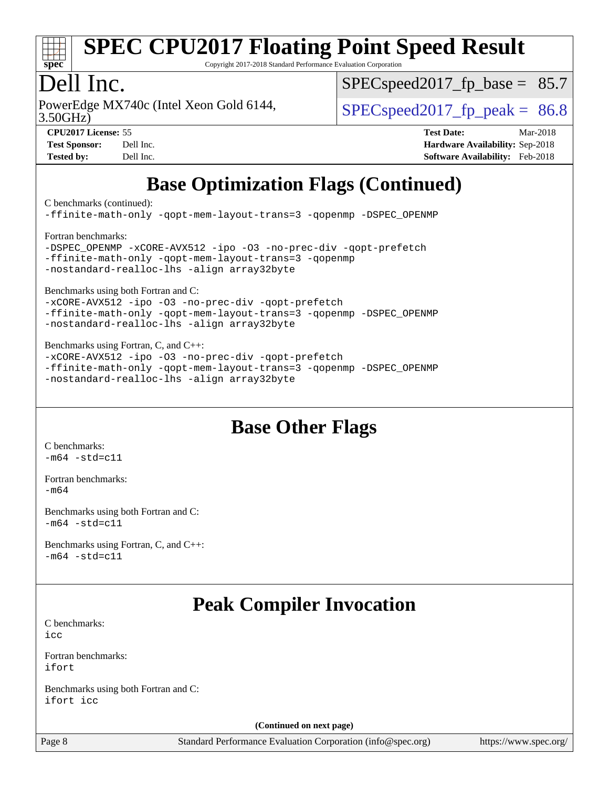

Copyright 2017-2018 Standard Performance Evaluation Corporation

## Dell Inc.

PowerEdge MX740c (Intel Xeon Gold 6144,  $\vert$  [SPECspeed2017\\_fp\\_peak =](http://www.spec.org/auto/cpu2017/Docs/result-fields.html#SPECspeed2017fppeak) 86.8

 $SPECspeed2017<sub>fp</sub> base = 85.7$ 

3.50GHz)

**[CPU2017 License:](http://www.spec.org/auto/cpu2017/Docs/result-fields.html#CPU2017License)** 55 **[Test Date:](http://www.spec.org/auto/cpu2017/Docs/result-fields.html#TestDate)** Mar-2018 **[Test Sponsor:](http://www.spec.org/auto/cpu2017/Docs/result-fields.html#TestSponsor)** Dell Inc. **[Hardware Availability:](http://www.spec.org/auto/cpu2017/Docs/result-fields.html#HardwareAvailability)** Sep-2018 **[Tested by:](http://www.spec.org/auto/cpu2017/Docs/result-fields.html#Testedby)** Dell Inc. **[Software Availability:](http://www.spec.org/auto/cpu2017/Docs/result-fields.html#SoftwareAvailability)** Feb-2018

## **[Base Optimization Flags \(Continued\)](http://www.spec.org/auto/cpu2017/Docs/result-fields.html#BaseOptimizationFlags)**

[C benchmarks](http://www.spec.org/auto/cpu2017/Docs/result-fields.html#Cbenchmarks) (continued):

[-ffinite-math-only](http://www.spec.org/cpu2017/results/res2018q4/cpu2017-20181001-09016.flags.html#user_CCbase_f_finite_math_only_cb91587bd2077682c4b38af759c288ed7c732db004271a9512da14a4f8007909a5f1427ecbf1a0fb78ff2a814402c6114ac565ca162485bbcae155b5e4258871) [-qopt-mem-layout-trans=3](http://www.spec.org/cpu2017/results/res2018q4/cpu2017-20181001-09016.flags.html#user_CCbase_f-qopt-mem-layout-trans_de80db37974c74b1f0e20d883f0b675c88c3b01e9d123adea9b28688d64333345fb62bc4a798493513fdb68f60282f9a726aa07f478b2f7113531aecce732043) [-qopenmp](http://www.spec.org/cpu2017/results/res2018q4/cpu2017-20181001-09016.flags.html#user_CCbase_qopenmp_16be0c44f24f464004c6784a7acb94aca937f053568ce72f94b139a11c7c168634a55f6653758ddd83bcf7b8463e8028bb0b48b77bcddc6b78d5d95bb1df2967) [-DSPEC\\_OPENMP](http://www.spec.org/cpu2017/results/res2018q4/cpu2017-20181001-09016.flags.html#suite_CCbase_DSPEC_OPENMP) [Fortran benchmarks](http://www.spec.org/auto/cpu2017/Docs/result-fields.html#Fortranbenchmarks): [-DSPEC\\_OPENMP](http://www.spec.org/cpu2017/results/res2018q4/cpu2017-20181001-09016.flags.html#suite_FCbase_DSPEC_OPENMP) [-xCORE-AVX512](http://www.spec.org/cpu2017/results/res2018q4/cpu2017-20181001-09016.flags.html#user_FCbase_f-xCORE-AVX512) [-ipo](http://www.spec.org/cpu2017/results/res2018q4/cpu2017-20181001-09016.flags.html#user_FCbase_f-ipo) [-O3](http://www.spec.org/cpu2017/results/res2018q4/cpu2017-20181001-09016.flags.html#user_FCbase_f-O3) [-no-prec-div](http://www.spec.org/cpu2017/results/res2018q4/cpu2017-20181001-09016.flags.html#user_FCbase_f-no-prec-div) [-qopt-prefetch](http://www.spec.org/cpu2017/results/res2018q4/cpu2017-20181001-09016.flags.html#user_FCbase_f-qopt-prefetch) [-ffinite-math-only](http://www.spec.org/cpu2017/results/res2018q4/cpu2017-20181001-09016.flags.html#user_FCbase_f_finite_math_only_cb91587bd2077682c4b38af759c288ed7c732db004271a9512da14a4f8007909a5f1427ecbf1a0fb78ff2a814402c6114ac565ca162485bbcae155b5e4258871) [-qopt-mem-layout-trans=3](http://www.spec.org/cpu2017/results/res2018q4/cpu2017-20181001-09016.flags.html#user_FCbase_f-qopt-mem-layout-trans_de80db37974c74b1f0e20d883f0b675c88c3b01e9d123adea9b28688d64333345fb62bc4a798493513fdb68f60282f9a726aa07f478b2f7113531aecce732043) [-qopenmp](http://www.spec.org/cpu2017/results/res2018q4/cpu2017-20181001-09016.flags.html#user_FCbase_qopenmp_16be0c44f24f464004c6784a7acb94aca937f053568ce72f94b139a11c7c168634a55f6653758ddd83bcf7b8463e8028bb0b48b77bcddc6b78d5d95bb1df2967) [-nostandard-realloc-lhs](http://www.spec.org/cpu2017/results/res2018q4/cpu2017-20181001-09016.flags.html#user_FCbase_f_2003_std_realloc_82b4557e90729c0f113870c07e44d33d6f5a304b4f63d4c15d2d0f1fab99f5daaed73bdb9275d9ae411527f28b936061aa8b9c8f2d63842963b95c9dd6426b8a) [-align array32byte](http://www.spec.org/cpu2017/results/res2018q4/cpu2017-20181001-09016.flags.html#user_FCbase_align_array32byte_b982fe038af199962ba9a80c053b8342c548c85b40b8e86eb3cc33dee0d7986a4af373ac2d51c3f7cf710a18d62fdce2948f201cd044323541f22fc0fffc51b6)

[Benchmarks using both Fortran and C](http://www.spec.org/auto/cpu2017/Docs/result-fields.html#BenchmarksusingbothFortranandC):

[-xCORE-AVX512](http://www.spec.org/cpu2017/results/res2018q4/cpu2017-20181001-09016.flags.html#user_CC_FCbase_f-xCORE-AVX512) [-ipo](http://www.spec.org/cpu2017/results/res2018q4/cpu2017-20181001-09016.flags.html#user_CC_FCbase_f-ipo) [-O3](http://www.spec.org/cpu2017/results/res2018q4/cpu2017-20181001-09016.flags.html#user_CC_FCbase_f-O3) [-no-prec-div](http://www.spec.org/cpu2017/results/res2018q4/cpu2017-20181001-09016.flags.html#user_CC_FCbase_f-no-prec-div) [-qopt-prefetch](http://www.spec.org/cpu2017/results/res2018q4/cpu2017-20181001-09016.flags.html#user_CC_FCbase_f-qopt-prefetch) [-ffinite-math-only](http://www.spec.org/cpu2017/results/res2018q4/cpu2017-20181001-09016.flags.html#user_CC_FCbase_f_finite_math_only_cb91587bd2077682c4b38af759c288ed7c732db004271a9512da14a4f8007909a5f1427ecbf1a0fb78ff2a814402c6114ac565ca162485bbcae155b5e4258871) [-qopt-mem-layout-trans=3](http://www.spec.org/cpu2017/results/res2018q4/cpu2017-20181001-09016.flags.html#user_CC_FCbase_f-qopt-mem-layout-trans_de80db37974c74b1f0e20d883f0b675c88c3b01e9d123adea9b28688d64333345fb62bc4a798493513fdb68f60282f9a726aa07f478b2f7113531aecce732043) [-qopenmp](http://www.spec.org/cpu2017/results/res2018q4/cpu2017-20181001-09016.flags.html#user_CC_FCbase_qopenmp_16be0c44f24f464004c6784a7acb94aca937f053568ce72f94b139a11c7c168634a55f6653758ddd83bcf7b8463e8028bb0b48b77bcddc6b78d5d95bb1df2967) [-DSPEC\\_OPENMP](http://www.spec.org/cpu2017/results/res2018q4/cpu2017-20181001-09016.flags.html#suite_CC_FCbase_DSPEC_OPENMP) [-nostandard-realloc-lhs](http://www.spec.org/cpu2017/results/res2018q4/cpu2017-20181001-09016.flags.html#user_CC_FCbase_f_2003_std_realloc_82b4557e90729c0f113870c07e44d33d6f5a304b4f63d4c15d2d0f1fab99f5daaed73bdb9275d9ae411527f28b936061aa8b9c8f2d63842963b95c9dd6426b8a) [-align array32byte](http://www.spec.org/cpu2017/results/res2018q4/cpu2017-20181001-09016.flags.html#user_CC_FCbase_align_array32byte_b982fe038af199962ba9a80c053b8342c548c85b40b8e86eb3cc33dee0d7986a4af373ac2d51c3f7cf710a18d62fdce2948f201cd044323541f22fc0fffc51b6)

[Benchmarks using Fortran, C, and C++:](http://www.spec.org/auto/cpu2017/Docs/result-fields.html#BenchmarksusingFortranCandCXX)

[-xCORE-AVX512](http://www.spec.org/cpu2017/results/res2018q4/cpu2017-20181001-09016.flags.html#user_CC_CXX_FCbase_f-xCORE-AVX512) [-ipo](http://www.spec.org/cpu2017/results/res2018q4/cpu2017-20181001-09016.flags.html#user_CC_CXX_FCbase_f-ipo) [-O3](http://www.spec.org/cpu2017/results/res2018q4/cpu2017-20181001-09016.flags.html#user_CC_CXX_FCbase_f-O3) [-no-prec-div](http://www.spec.org/cpu2017/results/res2018q4/cpu2017-20181001-09016.flags.html#user_CC_CXX_FCbase_f-no-prec-div) [-qopt-prefetch](http://www.spec.org/cpu2017/results/res2018q4/cpu2017-20181001-09016.flags.html#user_CC_CXX_FCbase_f-qopt-prefetch) [-ffinite-math-only](http://www.spec.org/cpu2017/results/res2018q4/cpu2017-20181001-09016.flags.html#user_CC_CXX_FCbase_f_finite_math_only_cb91587bd2077682c4b38af759c288ed7c732db004271a9512da14a4f8007909a5f1427ecbf1a0fb78ff2a814402c6114ac565ca162485bbcae155b5e4258871) [-qopt-mem-layout-trans=3](http://www.spec.org/cpu2017/results/res2018q4/cpu2017-20181001-09016.flags.html#user_CC_CXX_FCbase_f-qopt-mem-layout-trans_de80db37974c74b1f0e20d883f0b675c88c3b01e9d123adea9b28688d64333345fb62bc4a798493513fdb68f60282f9a726aa07f478b2f7113531aecce732043) [-qopenmp](http://www.spec.org/cpu2017/results/res2018q4/cpu2017-20181001-09016.flags.html#user_CC_CXX_FCbase_qopenmp_16be0c44f24f464004c6784a7acb94aca937f053568ce72f94b139a11c7c168634a55f6653758ddd83bcf7b8463e8028bb0b48b77bcddc6b78d5d95bb1df2967) [-DSPEC\\_OPENMP](http://www.spec.org/cpu2017/results/res2018q4/cpu2017-20181001-09016.flags.html#suite_CC_CXX_FCbase_DSPEC_OPENMP) [-nostandard-realloc-lhs](http://www.spec.org/cpu2017/results/res2018q4/cpu2017-20181001-09016.flags.html#user_CC_CXX_FCbase_f_2003_std_realloc_82b4557e90729c0f113870c07e44d33d6f5a304b4f63d4c15d2d0f1fab99f5daaed73bdb9275d9ae411527f28b936061aa8b9c8f2d63842963b95c9dd6426b8a) [-align array32byte](http://www.spec.org/cpu2017/results/res2018q4/cpu2017-20181001-09016.flags.html#user_CC_CXX_FCbase_align_array32byte_b982fe038af199962ba9a80c053b8342c548c85b40b8e86eb3cc33dee0d7986a4af373ac2d51c3f7cf710a18d62fdce2948f201cd044323541f22fc0fffc51b6)

#### **[Base Other Flags](http://www.spec.org/auto/cpu2017/Docs/result-fields.html#BaseOtherFlags)**

[C benchmarks](http://www.spec.org/auto/cpu2017/Docs/result-fields.html#Cbenchmarks):  $-m64 - std = c11$  $-m64 - std = c11$ 

[Fortran benchmarks](http://www.spec.org/auto/cpu2017/Docs/result-fields.html#Fortranbenchmarks): [-m64](http://www.spec.org/cpu2017/results/res2018q4/cpu2017-20181001-09016.flags.html#user_FCbase_intel_intel64_18.0_af43caccfc8ded86e7699f2159af6efc7655f51387b94da716254467f3c01020a5059329e2569e4053f409e7c9202a7efc638f7a6d1ffb3f52dea4a3e31d82ab)

[Benchmarks using both Fortran and C](http://www.spec.org/auto/cpu2017/Docs/result-fields.html#BenchmarksusingbothFortranandC):  $-m64 - std = c11$  $-m64 - std = c11$ 

[Benchmarks using Fortran, C, and C++:](http://www.spec.org/auto/cpu2017/Docs/result-fields.html#BenchmarksusingFortranCandCXX)  $-m64 - std = c11$  $-m64 - std = c11$ 

## **[Peak Compiler Invocation](http://www.spec.org/auto/cpu2017/Docs/result-fields.html#PeakCompilerInvocation)**

[C benchmarks](http://www.spec.org/auto/cpu2017/Docs/result-fields.html#Cbenchmarks): [icc](http://www.spec.org/cpu2017/results/res2018q4/cpu2017-20181001-09016.flags.html#user_CCpeak_intel_icc_18.0_66fc1ee009f7361af1fbd72ca7dcefbb700085f36577c54f309893dd4ec40d12360134090235512931783d35fd58c0460139e722d5067c5574d8eaf2b3e37e92)

[Fortran benchmarks](http://www.spec.org/auto/cpu2017/Docs/result-fields.html#Fortranbenchmarks): [ifort](http://www.spec.org/cpu2017/results/res2018q4/cpu2017-20181001-09016.flags.html#user_FCpeak_intel_ifort_18.0_8111460550e3ca792625aed983ce982f94888b8b503583aa7ba2b8303487b4d8a21a13e7191a45c5fd58ff318f48f9492884d4413fa793fd88dd292cad7027ca)

[Benchmarks using both Fortran and C](http://www.spec.org/auto/cpu2017/Docs/result-fields.html#BenchmarksusingbothFortranandC): [ifort](http://www.spec.org/cpu2017/results/res2018q4/cpu2017-20181001-09016.flags.html#user_CC_FCpeak_intel_ifort_18.0_8111460550e3ca792625aed983ce982f94888b8b503583aa7ba2b8303487b4d8a21a13e7191a45c5fd58ff318f48f9492884d4413fa793fd88dd292cad7027ca) [icc](http://www.spec.org/cpu2017/results/res2018q4/cpu2017-20181001-09016.flags.html#user_CC_FCpeak_intel_icc_18.0_66fc1ee009f7361af1fbd72ca7dcefbb700085f36577c54f309893dd4ec40d12360134090235512931783d35fd58c0460139e722d5067c5574d8eaf2b3e37e92)

**(Continued on next page)**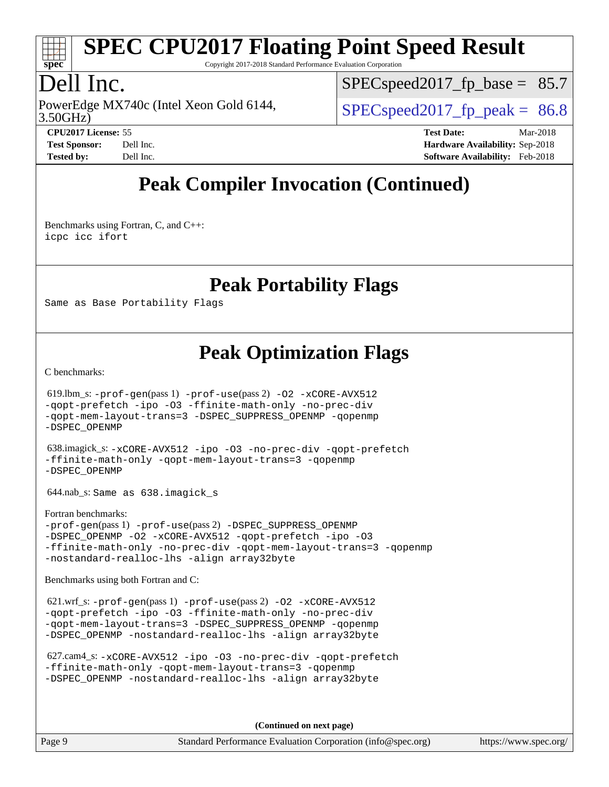

Copyright 2017-2018 Standard Performance Evaluation Corporation

## Dell Inc.

3.50GHz) PowerEdge MX740c (Intel Xeon Gold 6144,  $\vert$  [SPECspeed2017\\_fp\\_peak =](http://www.spec.org/auto/cpu2017/Docs/result-fields.html#SPECspeed2017fppeak) 86.8

 $SPECspeed2017<sub>fp</sub> base = 85.7$ 

**[CPU2017 License:](http://www.spec.org/auto/cpu2017/Docs/result-fields.html#CPU2017License)** 55 **[Test Date:](http://www.spec.org/auto/cpu2017/Docs/result-fields.html#TestDate)** Mar-2018 **[Test Sponsor:](http://www.spec.org/auto/cpu2017/Docs/result-fields.html#TestSponsor)** Dell Inc. **[Hardware Availability:](http://www.spec.org/auto/cpu2017/Docs/result-fields.html#HardwareAvailability)** Sep-2018 **[Tested by:](http://www.spec.org/auto/cpu2017/Docs/result-fields.html#Testedby)** Dell Inc. **[Software Availability:](http://www.spec.org/auto/cpu2017/Docs/result-fields.html#SoftwareAvailability)** Feb-2018

## **[Peak Compiler Invocation \(Continued\)](http://www.spec.org/auto/cpu2017/Docs/result-fields.html#PeakCompilerInvocation)**

[Benchmarks using Fortran, C, and C++:](http://www.spec.org/auto/cpu2017/Docs/result-fields.html#BenchmarksusingFortranCandCXX) [icpc](http://www.spec.org/cpu2017/results/res2018q4/cpu2017-20181001-09016.flags.html#user_CC_CXX_FCpeak_intel_icpc_18.0_c510b6838c7f56d33e37e94d029a35b4a7bccf4766a728ee175e80a419847e808290a9b78be685c44ab727ea267ec2f070ec5dc83b407c0218cded6866a35d07) [icc](http://www.spec.org/cpu2017/results/res2018q4/cpu2017-20181001-09016.flags.html#user_CC_CXX_FCpeak_intel_icc_18.0_66fc1ee009f7361af1fbd72ca7dcefbb700085f36577c54f309893dd4ec40d12360134090235512931783d35fd58c0460139e722d5067c5574d8eaf2b3e37e92) [ifort](http://www.spec.org/cpu2017/results/res2018q4/cpu2017-20181001-09016.flags.html#user_CC_CXX_FCpeak_intel_ifort_18.0_8111460550e3ca792625aed983ce982f94888b8b503583aa7ba2b8303487b4d8a21a13e7191a45c5fd58ff318f48f9492884d4413fa793fd88dd292cad7027ca)

#### **[Peak Portability Flags](http://www.spec.org/auto/cpu2017/Docs/result-fields.html#PeakPortabilityFlags)**

Same as Base Portability Flags

## **[Peak Optimization Flags](http://www.spec.org/auto/cpu2017/Docs/result-fields.html#PeakOptimizationFlags)**

[C benchmarks](http://www.spec.org/auto/cpu2017/Docs/result-fields.html#Cbenchmarks):

 619.lbm\_s: [-prof-gen](http://www.spec.org/cpu2017/results/res2018q4/cpu2017-20181001-09016.flags.html#user_peakPASS1_CFLAGSPASS1_LDFLAGS619_lbm_s_prof_gen_5aa4926d6013ddb2a31985c654b3eb18169fc0c6952a63635c234f711e6e63dd76e94ad52365559451ec499a2cdb89e4dc58ba4c67ef54ca681ffbe1461d6b36)(pass 1) [-prof-use](http://www.spec.org/cpu2017/results/res2018q4/cpu2017-20181001-09016.flags.html#user_peakPASS2_CFLAGSPASS2_LDFLAGS619_lbm_s_prof_use_1a21ceae95f36a2b53c25747139a6c16ca95bd9def2a207b4f0849963b97e94f5260e30a0c64f4bb623698870e679ca08317ef8150905d41bd88c6f78df73f19)(pass 2) [-O2](http://www.spec.org/cpu2017/results/res2018q4/cpu2017-20181001-09016.flags.html#user_peakPASS1_COPTIMIZE619_lbm_s_f-O2) [-xCORE-AVX512](http://www.spec.org/cpu2017/results/res2018q4/cpu2017-20181001-09016.flags.html#user_peakPASS2_COPTIMIZE619_lbm_s_f-xCORE-AVX512) [-qopt-prefetch](http://www.spec.org/cpu2017/results/res2018q4/cpu2017-20181001-09016.flags.html#user_peakPASS1_COPTIMIZEPASS2_COPTIMIZE619_lbm_s_f-qopt-prefetch) [-ipo](http://www.spec.org/cpu2017/results/res2018q4/cpu2017-20181001-09016.flags.html#user_peakPASS2_COPTIMIZE619_lbm_s_f-ipo) [-O3](http://www.spec.org/cpu2017/results/res2018q4/cpu2017-20181001-09016.flags.html#user_peakPASS2_COPTIMIZE619_lbm_s_f-O3) [-ffinite-math-only](http://www.spec.org/cpu2017/results/res2018q4/cpu2017-20181001-09016.flags.html#user_peakPASS1_COPTIMIZEPASS2_COPTIMIZE619_lbm_s_f_finite_math_only_cb91587bd2077682c4b38af759c288ed7c732db004271a9512da14a4f8007909a5f1427ecbf1a0fb78ff2a814402c6114ac565ca162485bbcae155b5e4258871) [-no-prec-div](http://www.spec.org/cpu2017/results/res2018q4/cpu2017-20181001-09016.flags.html#user_peakPASS2_COPTIMIZE619_lbm_s_f-no-prec-div) [-qopt-mem-layout-trans=3](http://www.spec.org/cpu2017/results/res2018q4/cpu2017-20181001-09016.flags.html#user_peakPASS1_COPTIMIZEPASS2_COPTIMIZE619_lbm_s_f-qopt-mem-layout-trans_de80db37974c74b1f0e20d883f0b675c88c3b01e9d123adea9b28688d64333345fb62bc4a798493513fdb68f60282f9a726aa07f478b2f7113531aecce732043) [-DSPEC\\_SUPPRESS\\_OPENMP](http://www.spec.org/cpu2017/results/res2018q4/cpu2017-20181001-09016.flags.html#suite_peakPASS1_COPTIMIZE619_lbm_s_DSPEC_SUPPRESS_OPENMP) [-qopenmp](http://www.spec.org/cpu2017/results/res2018q4/cpu2017-20181001-09016.flags.html#user_peakPASS2_COPTIMIZE619_lbm_s_qopenmp_16be0c44f24f464004c6784a7acb94aca937f053568ce72f94b139a11c7c168634a55f6653758ddd83bcf7b8463e8028bb0b48b77bcddc6b78d5d95bb1df2967) [-DSPEC\\_OPENMP](http://www.spec.org/cpu2017/results/res2018q4/cpu2017-20181001-09016.flags.html#suite_peakPASS2_COPTIMIZE619_lbm_s_DSPEC_OPENMP)

 638.imagick\_s: [-xCORE-AVX512](http://www.spec.org/cpu2017/results/res2018q4/cpu2017-20181001-09016.flags.html#user_peakCOPTIMIZE638_imagick_s_f-xCORE-AVX512) [-ipo](http://www.spec.org/cpu2017/results/res2018q4/cpu2017-20181001-09016.flags.html#user_peakCOPTIMIZE638_imagick_s_f-ipo) [-O3](http://www.spec.org/cpu2017/results/res2018q4/cpu2017-20181001-09016.flags.html#user_peakCOPTIMIZE638_imagick_s_f-O3) [-no-prec-div](http://www.spec.org/cpu2017/results/res2018q4/cpu2017-20181001-09016.flags.html#user_peakCOPTIMIZE638_imagick_s_f-no-prec-div) [-qopt-prefetch](http://www.spec.org/cpu2017/results/res2018q4/cpu2017-20181001-09016.flags.html#user_peakCOPTIMIZE638_imagick_s_f-qopt-prefetch) [-ffinite-math-only](http://www.spec.org/cpu2017/results/res2018q4/cpu2017-20181001-09016.flags.html#user_peakCOPTIMIZE638_imagick_s_f_finite_math_only_cb91587bd2077682c4b38af759c288ed7c732db004271a9512da14a4f8007909a5f1427ecbf1a0fb78ff2a814402c6114ac565ca162485bbcae155b5e4258871) [-qopt-mem-layout-trans=3](http://www.spec.org/cpu2017/results/res2018q4/cpu2017-20181001-09016.flags.html#user_peakCOPTIMIZE638_imagick_s_f-qopt-mem-layout-trans_de80db37974c74b1f0e20d883f0b675c88c3b01e9d123adea9b28688d64333345fb62bc4a798493513fdb68f60282f9a726aa07f478b2f7113531aecce732043) [-qopenmp](http://www.spec.org/cpu2017/results/res2018q4/cpu2017-20181001-09016.flags.html#user_peakCOPTIMIZE638_imagick_s_qopenmp_16be0c44f24f464004c6784a7acb94aca937f053568ce72f94b139a11c7c168634a55f6653758ddd83bcf7b8463e8028bb0b48b77bcddc6b78d5d95bb1df2967) [-DSPEC\\_OPENMP](http://www.spec.org/cpu2017/results/res2018q4/cpu2017-20181001-09016.flags.html#suite_peakCOPTIMIZE638_imagick_s_DSPEC_OPENMP)

644.nab\_s: Same as 638.imagick\_s

[Fortran benchmarks](http://www.spec.org/auto/cpu2017/Docs/result-fields.html#Fortranbenchmarks): [-prof-gen](http://www.spec.org/cpu2017/results/res2018q4/cpu2017-20181001-09016.flags.html#user_FCpeak_prof_gen_5aa4926d6013ddb2a31985c654b3eb18169fc0c6952a63635c234f711e6e63dd76e94ad52365559451ec499a2cdb89e4dc58ba4c67ef54ca681ffbe1461d6b36)(pass 1) [-prof-use](http://www.spec.org/cpu2017/results/res2018q4/cpu2017-20181001-09016.flags.html#user_FCpeak_prof_use_1a21ceae95f36a2b53c25747139a6c16ca95bd9def2a207b4f0849963b97e94f5260e30a0c64f4bb623698870e679ca08317ef8150905d41bd88c6f78df73f19)(pass 2) [-DSPEC\\_SUPPRESS\\_OPENMP](http://www.spec.org/cpu2017/results/res2018q4/cpu2017-20181001-09016.flags.html#suite_FCpeak_DSPEC_SUPPRESS_OPENMP) [-DSPEC\\_OPENMP](http://www.spec.org/cpu2017/results/res2018q4/cpu2017-20181001-09016.flags.html#suite_FCpeak_DSPEC_OPENMP) [-O2](http://www.spec.org/cpu2017/results/res2018q4/cpu2017-20181001-09016.flags.html#user_FCpeak_f-O2) [-xCORE-AVX512](http://www.spec.org/cpu2017/results/res2018q4/cpu2017-20181001-09016.flags.html#user_FCpeak_f-xCORE-AVX512) [-qopt-prefetch](http://www.spec.org/cpu2017/results/res2018q4/cpu2017-20181001-09016.flags.html#user_FCpeak_f-qopt-prefetch) [-ipo](http://www.spec.org/cpu2017/results/res2018q4/cpu2017-20181001-09016.flags.html#user_FCpeak_f-ipo) [-O3](http://www.spec.org/cpu2017/results/res2018q4/cpu2017-20181001-09016.flags.html#user_FCpeak_f-O3) [-ffinite-math-only](http://www.spec.org/cpu2017/results/res2018q4/cpu2017-20181001-09016.flags.html#user_FCpeak_f_finite_math_only_cb91587bd2077682c4b38af759c288ed7c732db004271a9512da14a4f8007909a5f1427ecbf1a0fb78ff2a814402c6114ac565ca162485bbcae155b5e4258871) [-no-prec-div](http://www.spec.org/cpu2017/results/res2018q4/cpu2017-20181001-09016.flags.html#user_FCpeak_f-no-prec-div) [-qopt-mem-layout-trans=3](http://www.spec.org/cpu2017/results/res2018q4/cpu2017-20181001-09016.flags.html#user_FCpeak_f-qopt-mem-layout-trans_de80db37974c74b1f0e20d883f0b675c88c3b01e9d123adea9b28688d64333345fb62bc4a798493513fdb68f60282f9a726aa07f478b2f7113531aecce732043) [-qopenmp](http://www.spec.org/cpu2017/results/res2018q4/cpu2017-20181001-09016.flags.html#user_FCpeak_qopenmp_16be0c44f24f464004c6784a7acb94aca937f053568ce72f94b139a11c7c168634a55f6653758ddd83bcf7b8463e8028bb0b48b77bcddc6b78d5d95bb1df2967) [-nostandard-realloc-lhs](http://www.spec.org/cpu2017/results/res2018q4/cpu2017-20181001-09016.flags.html#user_FCpeak_f_2003_std_realloc_82b4557e90729c0f113870c07e44d33d6f5a304b4f63d4c15d2d0f1fab99f5daaed73bdb9275d9ae411527f28b936061aa8b9c8f2d63842963b95c9dd6426b8a) [-align array32byte](http://www.spec.org/cpu2017/results/res2018q4/cpu2017-20181001-09016.flags.html#user_FCpeak_align_array32byte_b982fe038af199962ba9a80c053b8342c548c85b40b8e86eb3cc33dee0d7986a4af373ac2d51c3f7cf710a18d62fdce2948f201cd044323541f22fc0fffc51b6)

[Benchmarks using both Fortran and C](http://www.spec.org/auto/cpu2017/Docs/result-fields.html#BenchmarksusingbothFortranandC):

621.wrf\_s:  $-\text{prof-gen}(pass 1) -\text{prof-use}(pass 2) -\text{O2} -\text{xCORE-AVX512}$ [-qopt-prefetch](http://www.spec.org/cpu2017/results/res2018q4/cpu2017-20181001-09016.flags.html#user_peakPASS1_COPTIMIZEPASS1_FOPTIMIZEPASS2_COPTIMIZEPASS2_FOPTIMIZE621_wrf_s_f-qopt-prefetch) [-ipo](http://www.spec.org/cpu2017/results/res2018q4/cpu2017-20181001-09016.flags.html#user_peakPASS2_COPTIMIZEPASS2_FOPTIMIZE621_wrf_s_f-ipo) [-O3](http://www.spec.org/cpu2017/results/res2018q4/cpu2017-20181001-09016.flags.html#user_peakPASS2_COPTIMIZEPASS2_FOPTIMIZE621_wrf_s_f-O3) [-ffinite-math-only](http://www.spec.org/cpu2017/results/res2018q4/cpu2017-20181001-09016.flags.html#user_peakPASS1_COPTIMIZEPASS1_FOPTIMIZEPASS2_COPTIMIZEPASS2_FOPTIMIZE621_wrf_s_f_finite_math_only_cb91587bd2077682c4b38af759c288ed7c732db004271a9512da14a4f8007909a5f1427ecbf1a0fb78ff2a814402c6114ac565ca162485bbcae155b5e4258871) [-no-prec-div](http://www.spec.org/cpu2017/results/res2018q4/cpu2017-20181001-09016.flags.html#user_peakPASS2_COPTIMIZEPASS2_FOPTIMIZE621_wrf_s_f-no-prec-div) [-qopt-mem-layout-trans=3](http://www.spec.org/cpu2017/results/res2018q4/cpu2017-20181001-09016.flags.html#user_peakPASS1_COPTIMIZEPASS1_FOPTIMIZEPASS2_COPTIMIZEPASS2_FOPTIMIZE621_wrf_s_f-qopt-mem-layout-trans_de80db37974c74b1f0e20d883f0b675c88c3b01e9d123adea9b28688d64333345fb62bc4a798493513fdb68f60282f9a726aa07f478b2f7113531aecce732043) [-DSPEC\\_SUPPRESS\\_OPENMP](http://www.spec.org/cpu2017/results/res2018q4/cpu2017-20181001-09016.flags.html#suite_peakPASS1_COPTIMIZEPASS1_FOPTIMIZE621_wrf_s_DSPEC_SUPPRESS_OPENMP) [-qopenmp](http://www.spec.org/cpu2017/results/res2018q4/cpu2017-20181001-09016.flags.html#user_peakPASS2_COPTIMIZEPASS2_FOPTIMIZE621_wrf_s_qopenmp_16be0c44f24f464004c6784a7acb94aca937f053568ce72f94b139a11c7c168634a55f6653758ddd83bcf7b8463e8028bb0b48b77bcddc6b78d5d95bb1df2967) [-DSPEC\\_OPENMP](http://www.spec.org/cpu2017/results/res2018q4/cpu2017-20181001-09016.flags.html#suite_peakPASS2_COPTIMIZEPASS2_FOPTIMIZE621_wrf_s_DSPEC_OPENMP) [-nostandard-realloc-lhs](http://www.spec.org/cpu2017/results/res2018q4/cpu2017-20181001-09016.flags.html#user_peakEXTRA_FOPTIMIZE621_wrf_s_f_2003_std_realloc_82b4557e90729c0f113870c07e44d33d6f5a304b4f63d4c15d2d0f1fab99f5daaed73bdb9275d9ae411527f28b936061aa8b9c8f2d63842963b95c9dd6426b8a) [-align array32byte](http://www.spec.org/cpu2017/results/res2018q4/cpu2017-20181001-09016.flags.html#user_peakEXTRA_FOPTIMIZE621_wrf_s_align_array32byte_b982fe038af199962ba9a80c053b8342c548c85b40b8e86eb3cc33dee0d7986a4af373ac2d51c3f7cf710a18d62fdce2948f201cd044323541f22fc0fffc51b6)

```
 627.cam4_s: -xCORE-AVX512 -ipo -O3 -no-prec-div -qopt-prefetch
-ffinite-math-only -qopt-mem-layout-trans=3 -qopenmp
-DSPEC_OPENMP -nostandard-realloc-lhs -align array32byte
```
**(Continued on next page)**